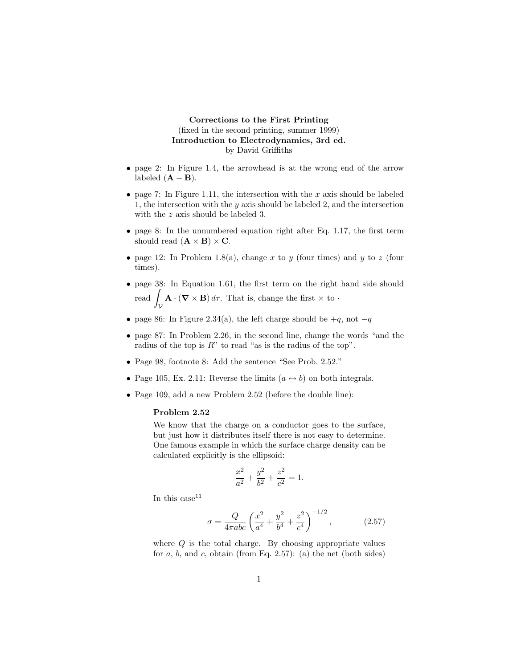## **Corrections to the First Printing** (fixed in the second printing, summer 1999) **Introduction to Electrodynamics, 3rd ed.** by David Griffiths

- page 2: In Figure 1.4, the arrowhead is at the wrong end of the arrow labeled  $(**A** – **B**).$
- page 7: In Figure 1.11, the intersection with the *x* axis should be labeled 1, the intersection with the *y* axis should be labeled 2, and the intersection with the *z* axis should be labeled 3.
- page 8: In the unnumbered equation right after Eq. 1.17, the first term should read  $(\mathbf{A} \times \mathbf{B}) \times \mathbf{C}$ *.*
- page 12: In Problem 1.8(a), change  $x$  to  $y$  (four times) and  $y$  to  $z$  (four times).
- page 38: In Equation 1.61, the first term on the right hand side should read  $\int_{\mathbb{R}^n} \mathbf{A} \cdot (\mathbf{\nabla} \times \mathbf{B}) d\tau$ . That is, change the first  $\times$  to  $\cdot$ V
- page 86: In Figure 2.34(a), the left charge should be +*q*, not −*q*
- page 87: In Problem 2.26, in the second line, change the words "and the radius of the top is *R*" to read "as is the radius of the top".
- Page 98, footnote 8: Add the sentence "See Prob. 2.52."
- Page 105, Ex. 2.11: Reverse the limits  $(a \leftrightarrow b)$  on both integrals.
- Page 109, add a new Problem 2.52 (before the double line):

## **Problem 2.52**

We know that the charge on a conductor goes to the surface, but just how it distributes itself there is not easy to determine. One famous example in which the surface charge density can be calculated explicitly is the ellipsoid:

$$
\frac{x^2}{a^2} + \frac{y^2}{b^2} + \frac{z^2}{c^2} = 1.
$$

In this case  $11$ 

$$
\sigma = \frac{Q}{4\pi abc} \left(\frac{x^2}{a^4} + \frac{y^2}{b^4} + \frac{z^2}{c^4}\right)^{-1/2},\tag{2.57}
$$

where *Q* is the total charge. By choosing appropriate values for  $a, b$ , and  $c$ , obtain (from Eq. 2.57): (a) the net (both sides)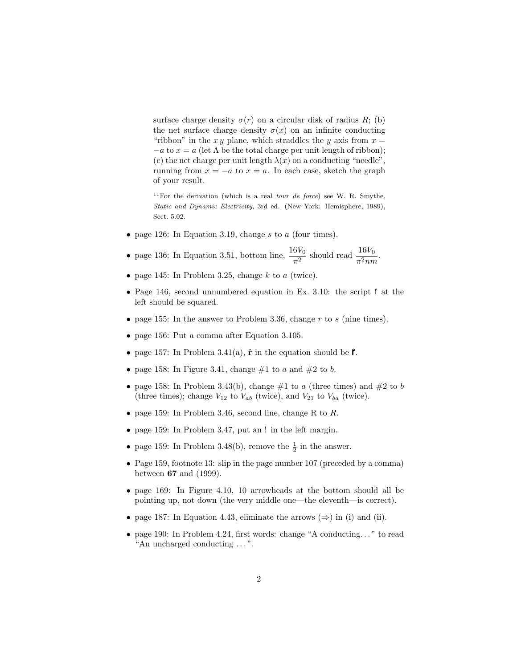surface charge density  $\sigma(r)$  on a circular disk of radius *R*; (b) the net surface charge density  $\sigma(x)$  on an infinite conducting "ribbon" in the  $xy$  plane, which straddles the  $y$  axis from  $x =$  $-a$  to  $x = a$  (let  $\Lambda$  be the total charge per unit length of ribbon); (c) the net charge per unit length  $\lambda(x)$  on a conducting "needle", running from  $x = -a$  to  $x = a$ . In each case, sketch the graph of your result.

<sup>11</sup>For the derivation (which is a real *tour de force*) see W. R. Smythe, *Static and Dynamic Electricity,* 3rd ed. (New York: Hemisphere, 1989), Sect. 5.02.

• page 126: In Equation 3.19, change *s* to *a* (four times).

• page 136: In Equation 3.51, bottom line,  $\frac{16V_0}{\pi^2}$  should read  $\frac{16V_0}{\pi^2 n m}$ .

- page 145: In Problem 3.25, change  $k$  to  $a$  (twice).
- Page 146, second unnumbered equation in Ex. 3.10: the script *r* at the left should be squared.
- page 155: In the answer to Problem 3.36, change *r* to *s* (nine times).
- page 156: Put a comma after Equation 3.105.
- page 157: In Problem 3.41(a),  $\hat{\mathbf{r}}$  in the equation should be  $\hat{\mathcal{r}}$ .
- page 158: In Figure 3.41, change  $\#1$  to *a* and  $\#2$  to *b*.
- $\bullet\,$  page 158: In Problem 3.43(b), change #1 to  $a$  (three times) and #2 to  $b$ (three times); change  $V_{12}$  to  $V_{ab}$  (twice), and  $V_{21}$  to  $V_{ba}$  (twice).
- page 159: In Problem 3.46, second line, change R to *R*.
- page 159: In Problem 3.47, put an ! in the left margin.
- page 159: In Problem 3.48(b), remove the  $\frac{1}{2}$  in the answer.
- Page 159, footnote 13: slip in the page number 107 (preceded by a comma) between **67** and (1999).
- page 169: In Figure 4.10, 10 arrowheads at the bottom should all be pointing up, not down (the very middle one—the eleventh—is correct).
- page 187: In Equation 4.43, eliminate the arrows  $(\Rightarrow)$  in (i) and (ii).
- page 190: In Problem 4.24, first words: change "A conducting..." to read "An uncharged conducting . . . ".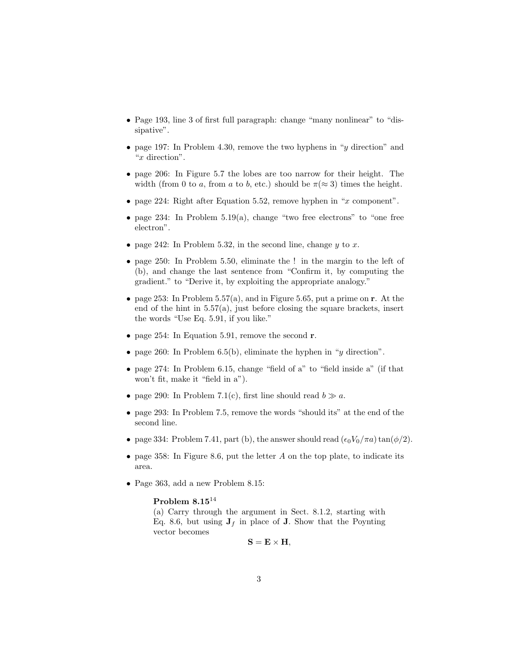- Page 193, line 3 of first full paragraph: change "many nonlinear" to "dissipative".
- page 197: In Problem 4.30, remove the two hyphens in "*y* direction" and "*x* direction".
- page 206: In Figure 5.7 the lobes are too narrow for their height. The width (from 0 to *a*, from *a* to *b*, etc.) should be  $\pi (\approx 3)$  times the height.
- page 224: Right after Equation 5.52, remove hyphen in "*x* component".
- page 234: In Problem  $5.19(a)$ , change "two free electrons" to "one free electron".
- page 242: In Problem 5.32, in the second line, change *y* to *x*.
- page 250: In Problem 5.50, eliminate the ! in the margin to the left of (b), and change the last sentence from "Confirm it, by computing the gradient." to "Derive it, by exploiting the appropriate analogy."
- page 253: In Problem 5.57(a), and in Figure 5.65, put a prime on **r**. At the end of the hint in 5.57(a), just before closing the square brackets, insert the words "Use Eq. 5.91, if you like."
- page 254: In Equation 5.91, remove the second **r**.
- page 260: In Problem 6.5(b), eliminate the hyphen in "*y* direction".
- page 274: In Problem 6.15, change "field of a" to "field inside a" (if that won't fit, make it "field in a").
- page 290: In Problem 7.1(c), first line should read  $b \gg a$ .
- page 293: In Problem 7.5, remove the words "should its" at the end of the second line.
- page 334: Problem 7.41, part (b), the answer should read  $(\epsilon_0 V_0/\pi a) \tan(\phi/2)$ .
- page 358: In Figure 8.6, put the letter *A* on the top plate, to indicate its area.
- Page 363, add a new Problem 8.15:

## **Problem 8.15**<sup>14</sup>

(a) Carry through the argument in Sect. 8.1.2, starting with Eq. 8.6, but using  $J_f$  in place of **J**. Show that the Poynting vector becomes

 $S = E \times H$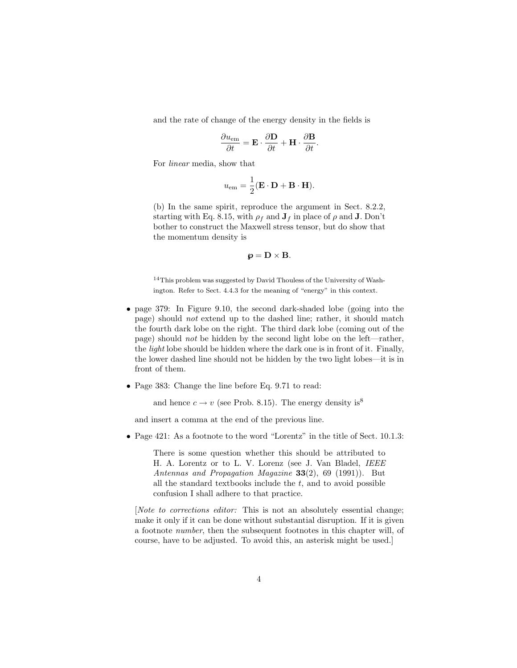and the rate of change of the energy density in the fields is

$$
\frac{\partial u_{\text{em}}}{\partial t} = \mathbf{E} \cdot \frac{\partial \mathbf{D}}{\partial t} + \mathbf{H} \cdot \frac{\partial \mathbf{B}}{\partial t}.
$$

For linear media, show that

$$
u_{\text{em}} = \frac{1}{2} (\mathbf{E} \cdot \mathbf{D} + \mathbf{B} \cdot \mathbf{H}).
$$

(b) In the same spirit, reproduce the argument in Sect. 8.2.2, starting with Eq. 8.15, with  $\rho_f$  and  $J_f$  in place of  $\rho$  and  $J$ . Don't bother to construct the Maxwell stress tensor, but do show that the momentum density is

$$
\boldsymbol{\varphi} = \mathbf{D} \times \mathbf{B}.
$$

<sup>14</sup>This problem was suggested by David Thouless of the University of Washington. Refer to Sect. 4.4.3 for the meaning of "energy" in this context.

- page 379: In Figure 9.10, the second dark-shaded lobe (going into the page) should not extend up to the dashed line; rather, it should match the fourth dark lobe on the right. The third dark lobe (coming out of the page) should not be hidden by the second light lobe on the left—rather, the light lobe should be hidden where the dark one is in front of it. Finally, the lower dashed line should not be hidden by the two light lobes—it is in front of them.
- Page 383: Change the line before Eq. 9.71 to read:

and hence  $c \to v$  (see Prob. 8.15). The energy density is<sup>8</sup>

and insert a comma at the end of the previous line.

• Page 421: As a footnote to the word "Lorentz" in the title of Sect. 10.1.3:

There is some question whether this should be attributed to H. A. Lorentz or to L. V. Lorenz (see J. Van Bladel, IEEE Antennas and Propagation Magazine **33**(2), 69 (1991)). But all the standard textbooks include the *t*, and to avoid possible confusion Ishall adhere to that practice.

[Note to corrections editor: This is not an absolutely essential change; make it only if it can be done without substantial disruption. If it is given a footnote number, then the subsequent footnotes in this chapter will, of course, have to be adjusted. To avoid this, an asterisk might be used.]